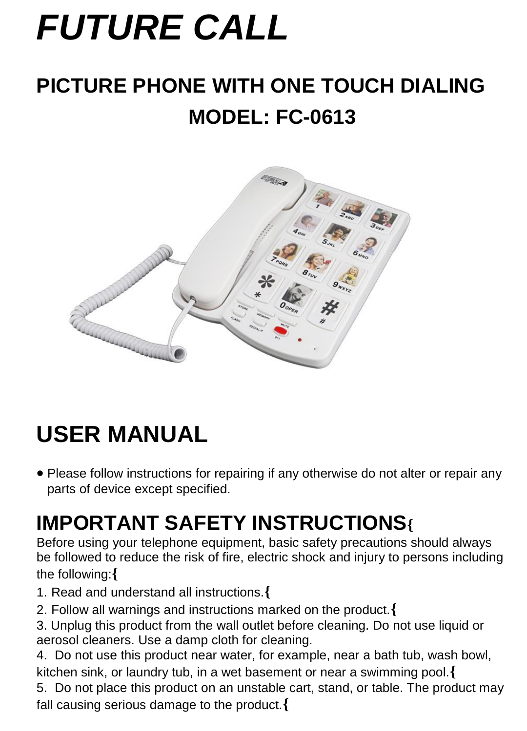# *FUTURE CALL*

# **PICTURE PHONE WITH ONE TOUCH DIALING MODEL: FC-0613**



# **USER MANUAL**

• Please follow instructions for repairing if any otherwise do not alter or repair any parts of device except specified.

# **IMPORTANT SAFETY INSTRUCTIONS{**

Before using your telephone equipment, basic safety precautions should always be followed to reduce the risk of fire, electric shock and injury to persons including the following:**{**

- 1. Read and understand all instructions.**{**
- 2. Follow all warnings and instructions marked on the product.**{**
- 3. Unplug this product from the wall outlet before cleaning. Do not use liquid or aerosol cleaners. Use a damp cloth for cleaning.

4. Do not use this product near water, for example, near a bath tub, wash bowl, kitchen sink, or laundry tub, in a wet basement or near a swimming pool.**{**

5. Do not place this product on an unstable cart, stand, or table. The product may fall causing serious damage to the product.**{**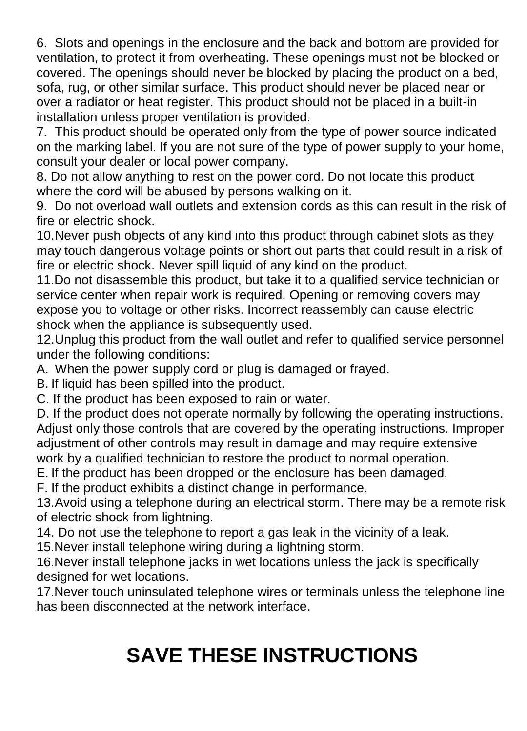6. Slots and openings in the enclosure and the back and bottom are provided for ventilation, to protect it from overheating. These openings must not be blocked or covered. The openings should never be blocked by placing the product on a bed, sofa, rug, or other similar surface. This product should never be placed near or over a radiator or heat register. This product should not be placed in a built-in installation unless proper ventilation is provided.

7. This product should be operated only from the type of power source indicated on the marking label. If you are not sure of the type of power supply to your home, consult your dealer or local power company.

8. Do not allow anything to rest on the power cord. Do not locate this product where the cord will be abused by persons walking on it.

9. Do not overload wall outlets and extension cords as this can result in the risk of fire or electric shock.

10.Never push objects of any kind into this product through cabinet slots as they may touch dangerous voltage points or short out parts that could result in a risk of fire or electric shock. Never spill liquid of any kind on the product.

11.Do not disassemble this product, but take it to a qualified service technician or service center when repair work is required. Opening or removing covers may expose you to voltage or other risks. Incorrect reassembly can cause electric shock when the appliance is subsequently used.

12.Unplug this product from the wall outlet and refer to qualified service personnel under the following conditions:

A. When the power supply cord or plug is damaged or frayed.

B. If liquid has been spilled into the product.

C. If the product has been exposed to rain or water.

D. If the product does not operate normally by following the operating instructions. Adjust only those controls that are covered by the operating instructions. Improper adjustment of other controls may result in damage and may require extensive work by a qualified technician to restore the product to normal operation.

E. If the product has been dropped or the enclosure has been damaged.

F. If the product exhibits a distinct change in performance.

13.Avoid using a telephone during an electrical storm. There may be a remote risk of electric shock from lightning.

14. Do not use the telephone to report a gas leak in the vicinity of a leak.

15.Never install telephone wiring during a lightning storm.

16.Never install telephone jacks in wet locations unless the jack is specifically designed for wet locations.

17.Never touch uninsulated telephone wires or terminals unless the telephone line has been disconnected at the network interface.

# **SAVE THESE INSTRUCTIONS**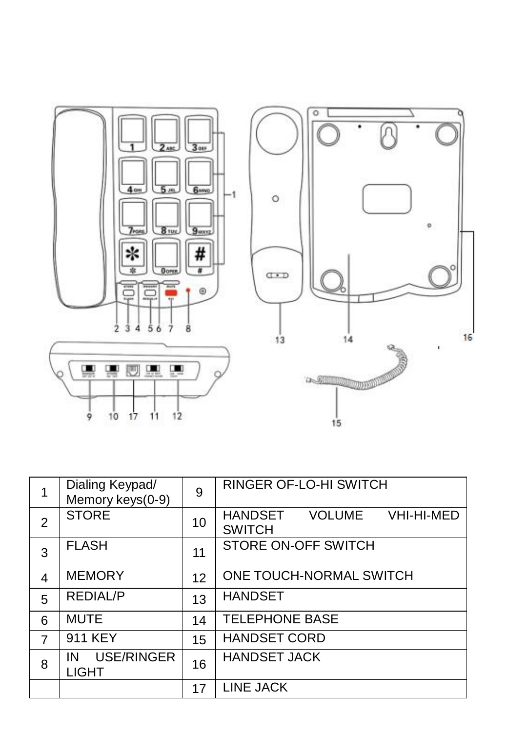

| 1              | Dialing Keypad/<br>Memory keys(0-9) | 9  | <b>RINGER OF-LO-HI SWITCH</b>                    |
|----------------|-------------------------------------|----|--------------------------------------------------|
| 2              | <b>STORE</b>                        | 10 | HANDSET<br>VOLUME<br>VHI-HI-MED<br><b>SWITCH</b> |
| 3              | <b>FLASH</b>                        | 11 | STORE ON-OFF SWITCH                              |
| 4              | <b>MEMORY</b>                       | 12 | ONE TOUCH-NORMAL SWITCH                          |
| 5              | <b>REDIAL/P</b>                     | 13 | <b>HANDSET</b>                                   |
| 6              | <b>MUTE</b>                         | 14 | <b>TELEPHONE BASE</b>                            |
| $\overline{7}$ | 911 KEY                             | 15 | <b>HANDSET CORD</b>                              |
| 8              | USE/RINGER<br>IN<br><b>LIGHT</b>    | 16 | <b>HANDSET JACK</b>                              |
|                |                                     | 17 | <b>LINE JACK</b>                                 |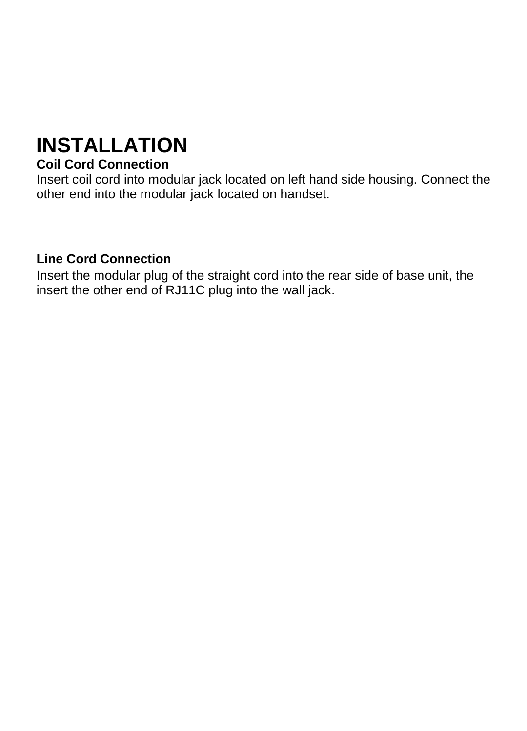# **INSTALLATION**

#### **Coil Cord Connection**

Insert coil cord into modular jack located on left hand side housing. Connect the other end into the modular jack located on handset.

#### **Line Cord Connection**

Insert the modular plug of the straight cord into the rear side of base unit, the insert the other end of RJ11C plug into the wall jack.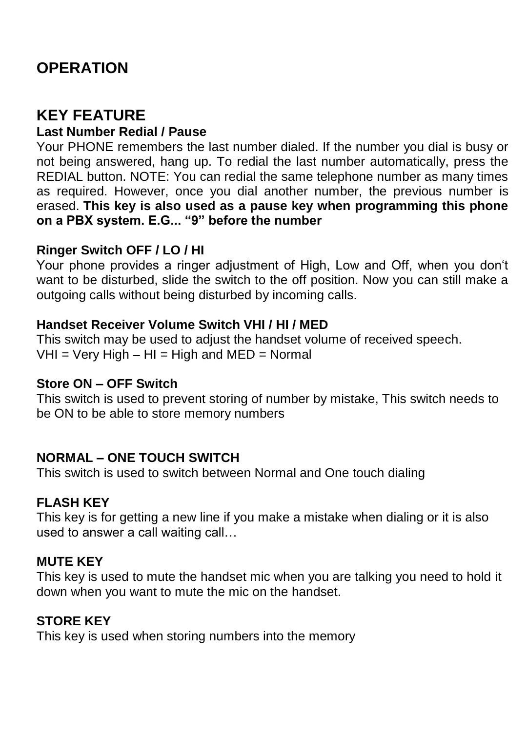### **OPERATION**

### **KEY FEATURE**

#### **Last Number Redial / Pause**

Your PHONE remembers the last number dialed. If the number you dial is busy or not being answered, hang up. To redial the last number automatically, press the REDIAL button. NOTE: You can redial the same telephone number as many times as required. However, once you dial another number, the previous number is erased. **This key is also used as a pause key when programming this phone on a PBX system. E.G... "9" before the number**

#### **Ringer Switch OFF / LO / HI**

Your phone provides a ringer adjustment of High, Low and Off, when you don't want to be disturbed, slide the switch to the off position. Now you can still make a outgoing calls without being disturbed by incoming calls.

#### **Handset Receiver Volume Switch VHI / HI / MED**

This switch may be used to adjust the handset volume of received speech.  $VHI = Very High - HI = High and MED = Normal$ 

#### **Store ON – OFF Switch**

This switch is used to prevent storing of number by mistake, This switch needs to be ON to be able to store memory numbers

#### **NORMAL – ONE TOUCH SWITCH**

This switch is used to switch between Normal and One touch dialing

#### **FLASH KEY**

This key is for getting a new line if you make a mistake when dialing or it is also used to answer a call waiting call…

#### **MUTE KEY**

This key is used to mute the handset mic when you are talking you need to hold it down when you want to mute the mic on the handset.

#### **STORE KEY**

This key is used when storing numbers into the memory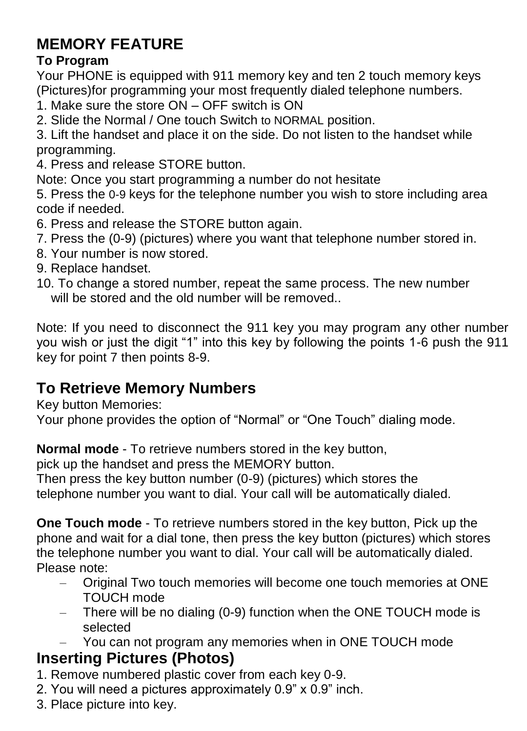### **MEMORY FEATURE**

#### **To Program**

Your PHONE is equipped with 911 memory key and ten 2 touch memory keys (Pictures)for programming your most frequently dialed telephone numbers.

- 1. Make sure the store ON OFF switch is ON
- 2. Slide the Normal / One touch Switch to NORMAL position.

3. Lift the handset and place it on the side. Do not listen to the handset while programming.

4. Press and release STORE button.

Note: Once you start programming a number do not hesitate

5. Press the 0-9 keys for the telephone number you wish to store including area code if needed.

- 6. Press and release the STORE button again.
- 7. Press the (0-9) (pictures) where you want that telephone number stored in.
- 8. Your number is now stored.
- 9. Replace handset.
- 10. To change a stored number, repeat the same process. The new number will be stored and the old number will be removed..

Note: If you need to disconnect the 911 key you may program any other number you wish or just the digit "1" into this key by following the points 1-6 push the 911 key for point 7 then points 8-9.

### **To Retrieve Memory Numbers**

Key button Memories:

Your phone provides the option of "Normal" or "One Touch" dialing mode.

**Normal mode** - To retrieve numbers stored in the key button,

pick up the handset and press the MEMORY button.

Then press the key button number (0-9) (pictures) which stores the telephone number you want to dial. Your call will be automatically dialed.

**One Touch mode** - To retrieve numbers stored in the key button, Pick up the phone and wait for a dial tone, then press the key button (pictures) which stores the telephone number you want to dial. Your call will be automatically dialed. Please note:

- Original Two touch memories will become one touch memories at ONE TOUCH mode
- There will be no dialing (0-9) function when the ONE TOUCH mode is selected
- You can not program any memories when in ONE TOUCH mode

### **Inserting Pictures (Photos)**

- 1. Remove numbered plastic cover from each key 0-9.
- 2. You will need a pictures approximately 0.9" x 0.9" inch.
- 3. Place picture into key.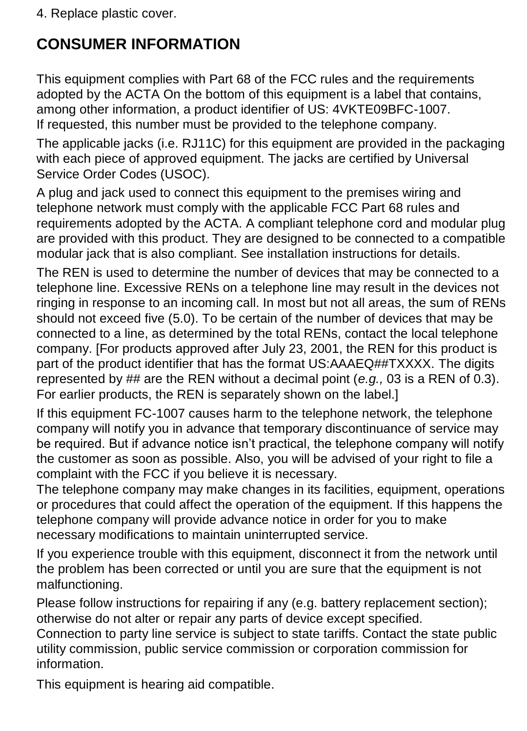4. Replace plastic cover.

## **CONSUMER INFORMATION**

This equipment complies with Part 68 of the FCC rules and the requirements adopted by the ACTA On the bottom of this equipment is a label that contains, among other information, a product identifier of US: 4VKTE09BFC-1007. If requested, this number must be provided to the telephone company.

The applicable jacks (i.e. RJ11C) for this equipment are provided in the packaging with each piece of approved equipment. The jacks are certified by Universal Service Order Codes (USOC).

A plug and jack used to connect this equipment to the premises wiring and telephone network must comply with the applicable FCC Part 68 rules and requirements adopted by the ACTA. A compliant telephone cord and modular plug are provided with this product. They are designed to be connected to a compatible modular jack that is also compliant. See installation instructions for details.

The REN is used to determine the number of devices that may be connected to a telephone line. Excessive RENs on a telephone line may result in the devices not ringing in response to an incoming call. In most but not all areas, the sum of RENs should not exceed five (5.0). To be certain of the number of devices that may be connected to a line, as determined by the total RENs, contact the local telephone company. [For products approved after July 23, 2001, the REN for this product is part of the product identifier that has the format US:AAAEQ##TXXXX. The digits represented by ## are the REN without a decimal point (*e.g.,* 03 is a REN of 0.3). For earlier products, the REN is separately shown on the label.]

If this equipment FC-1007 causes harm to the telephone network, the telephone company will notify you in advance that temporary discontinuance of service may be required. But if advance notice isn't practical, the telephone company will notify the customer as soon as possible. Also, you will be advised of your right to file a complaint with the FCC if you believe it is necessary.

The telephone company may make changes in its facilities, equipment, operations or procedures that could affect the operation of the equipment. If this happens the telephone company will provide advance notice in order for you to make necessary modifications to maintain uninterrupted service.

If you experience trouble with this equipment, disconnect it from the network until the problem has been corrected or until you are sure that the equipment is not malfunctioning.

Please follow instructions for repairing if any (e.g. battery replacement section); otherwise do not alter or repair any parts of device except specified.

Connection to party line service is subject to state tariffs. Contact the state public utility commission, public service commission or corporation commission for information.

This equipment is hearing aid compatible.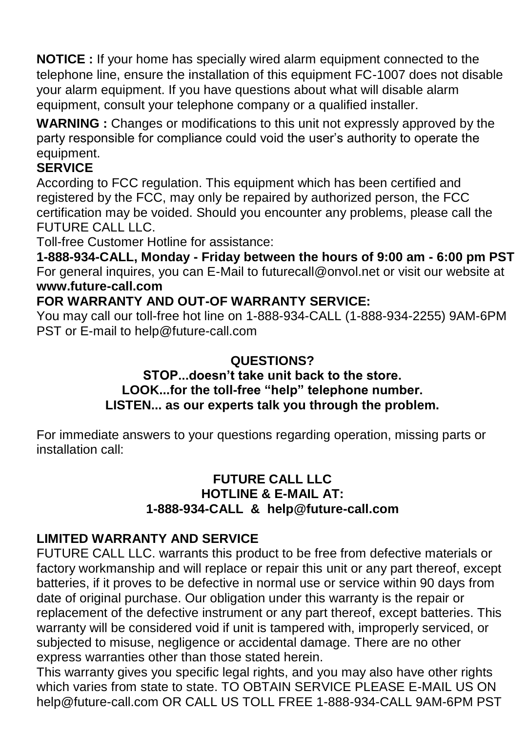**NOTICE :** If your home has specially wired alarm equipment connected to the telephone line, ensure the installation of this equipment FC-1007 does not disable your alarm equipment. If you have questions about what will disable alarm equipment, consult your telephone company or a qualified installer.

**WARNING :** Changes or modifications to this unit not expressly approved by the party responsible for compliance could void the user's authority to operate the equipment.

#### **SERVICE**

According to FCC regulation. This equipment which has been certified and registered by the FCC, may only be repaired by authorized person, the FCC certification may be voided. Should you encounter any problems, please call the FUTURE CALL LLC.

Toll-free Customer Hotline for assistance:

**1-888-934-CALL, Monday - Friday between the hours of 9:00 am - 6:00 pm PST** For general inquires, you can E-Mail to futurecall@onvol.net or visit our website at **www.future-call.com**

#### **FOR WARRANTY AND OUT-OF WARRANTY SERVICE:**

You may call our toll-free hot line on 1-888-934-CALL (1-888-934-2255) 9AM-6PM PST or E-mail to help@future-call.com

#### **QUESTIONS?**

#### **STOP...doesn't take unit back to the store. LOOK...for the toll-free "help" telephone number. LISTEN... as our experts talk you through the problem.**

For immediate answers to your questions regarding operation, missing parts or installation call:

#### **FUTURE CALL LLC HOTLINE & E-MAIL AT: 1-888-934-CALL & help@future-call.com**

#### **LIMITED WARRANTY AND SERVICE**

FUTURE CALL LLC. warrants this product to be free from defective materials or factory workmanship and will replace or repair this unit or any part thereof, except batteries, if it proves to be defective in normal use or service within 90 days from date of original purchase. Our obligation under this warranty is the repair or replacement of the defective instrument or any part thereof, except batteries. This warranty will be considered void if unit is tampered with, improperly serviced, or subjected to misuse, negligence or accidental damage. There are no other express warranties other than those stated herein.

This warranty gives you specific legal rights, and you may also have other rights which varies from state to state. TO OBTAIN SERVICE PLEASE E-MAIL US ON help@future-call.com OR CALL US TOLL FREE 1-888-934-CALL 9AM-6PM PST